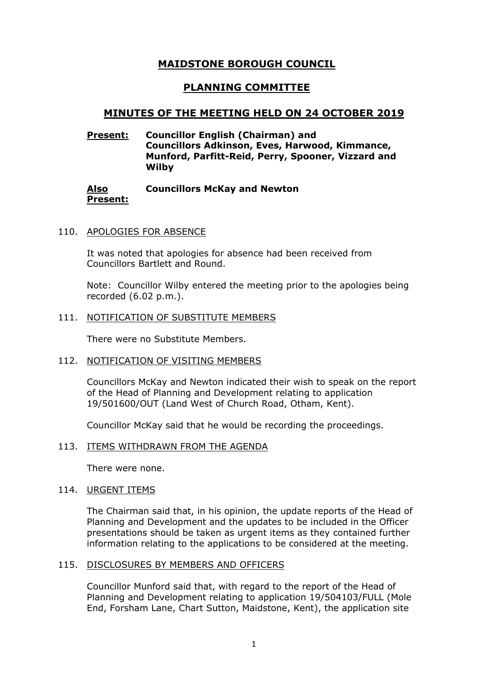# **MAIDSTONE BOROUGH COUNCIL**

# **PLANNING COMMITTEE**

## **MINUTES OF THE MEETING HELD ON 24 OCTOBER 2019**

## **Present: Councillor English (Chairman) and Councillors Adkinson, Eves, Harwood, Kimmance, Munford, Parfitt-Reid, Perry, Spooner, Vizzard and Wilby**

#### **Also Present: Councillors McKay and Newton**

#### 110. APOLOGIES FOR ABSENCE

It was noted that apologies for absence had been received from Councillors Bartlett and Round.

Note: Councillor Wilby entered the meeting prior to the apologies being recorded (6.02 p.m.).

#### 111. NOTIFICATION OF SUBSTITUTE MEMBERS

There were no Substitute Members.

#### 112. NOTIFICATION OF VISITING MEMBERS

Councillors McKay and Newton indicated their wish to speak on the report of the Head of Planning and Development relating to application 19/501600/OUT (Land West of Church Road, Otham, Kent).

Councillor McKay said that he would be recording the proceedings.

#### 113. ITEMS WITHDRAWN FROM THE AGENDA

There were none.

#### 114. URGENT ITEMS

The Chairman said that, in his opinion, the update reports of the Head of Planning and Development and the updates to be included in the Officer presentations should be taken as urgent items as they contained further information relating to the applications to be considered at the meeting.

#### 115. DISCLOSURES BY MEMBERS AND OFFICERS

Councillor Munford said that, with regard to the report of the Head of Planning and Development relating to application 19/504103/FULL (Mole End, Forsham Lane, Chart Sutton, Maidstone, Kent), the application site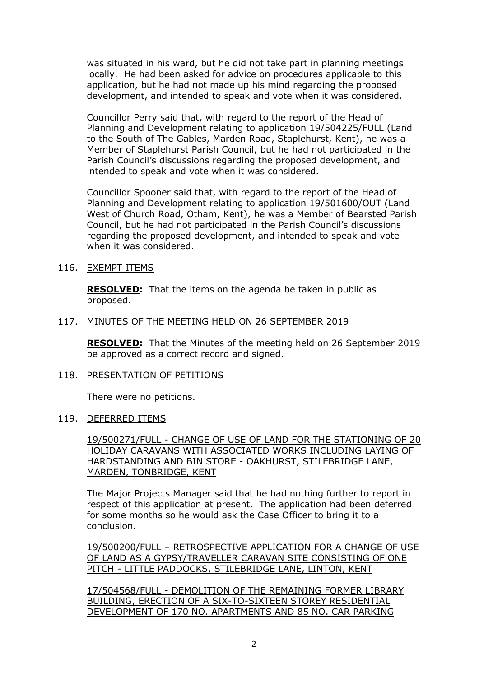was situated in his ward, but he did not take part in planning meetings locally. He had been asked for advice on procedures applicable to this application, but he had not made up his mind regarding the proposed development, and intended to speak and vote when it was considered.

Councillor Perry said that, with regard to the report of the Head of Planning and Development relating to application 19/504225/FULL (Land to the South of The Gables, Marden Road, Staplehurst, Kent), he was a Member of Staplehurst Parish Council, but he had not participated in the Parish Council's discussions regarding the proposed development, and intended to speak and vote when it was considered.

Councillor Spooner said that, with regard to the report of the Head of Planning and Development relating to application 19/501600/OUT (Land West of Church Road, Otham, Kent), he was a Member of Bearsted Parish Council, but he had not participated in the Parish Council's discussions regarding the proposed development, and intended to speak and vote when it was considered.

#### 116. EXEMPT ITEMS

**RESOLVED:** That the items on the agenda be taken in public as proposed.

#### 117. MINUTES OF THE MEETING HELD ON 26 SEPTEMBER 2019

**RESOLVED:** That the Minutes of the meeting held on 26 September 2019 be approved as a correct record and signed.

#### 118. PRESENTATION OF PETITIONS

There were no petitions.

#### 119. DEFERRED ITEMS

19/500271/FULL - CHANGE OF USE OF LAND FOR THE STATIONING OF 20 HOLIDAY CARAVANS WITH ASSOCIATED WORKS INCLUDING LAYING OF HARDSTANDING AND BIN STORE - OAKHURST, STILEBRIDGE LANE, MARDEN, TONBRIDGE, KENT

The Major Projects Manager said that he had nothing further to report in respect of this application at present. The application had been deferred for some months so he would ask the Case Officer to bring it to a conclusion.

19/500200/FULL – RETROSPECTIVE APPLICATION FOR A CHANGE OF USE OF LAND AS A GYPSY/TRAVELLER CARAVAN SITE CONSISTING OF ONE PITCH - LITTLE PADDOCKS, STILEBRIDGE LANE, LINTON, KENT

17/504568/FULL - DEMOLITION OF THE REMAINING FORMER LIBRARY BUILDING, ERECTION OF A SIX-TO-SIXTEEN STOREY RESIDENTIAL DEVELOPMENT OF 170 NO. APARTMENTS AND 85 NO. CAR PARKING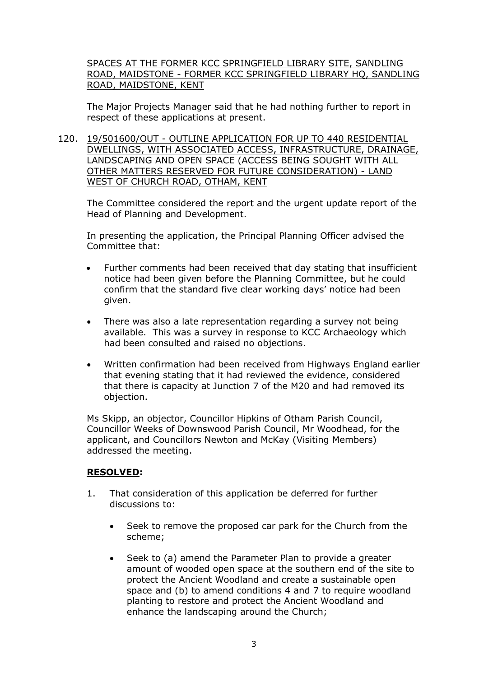SPACES AT THE FORMER KCC SPRINGFIELD LIBRARY SITE, SANDLING ROAD, MAIDSTONE - FORMER KCC SPRINGFIELD LIBRARY HQ, SANDLING ROAD, MAIDSTONE, KENT

The Major Projects Manager said that he had nothing further to report in respect of these applications at present.

120. 19/501600/OUT - OUTLINE APPLICATION FOR UP TO 440 RESIDENTIAL DWELLINGS, WITH ASSOCIATED ACCESS, INFRASTRUCTURE, DRAINAGE, LANDSCAPING AND OPEN SPACE (ACCESS BEING SOUGHT WITH ALL OTHER MATTERS RESERVED FOR FUTURE CONSIDERATION) - LAND WEST OF CHURCH ROAD, OTHAM, KENT

The Committee considered the report and the urgent update report of the Head of Planning and Development.

In presenting the application, the Principal Planning Officer advised the Committee that:

- Further comments had been received that day stating that insufficient notice had been given before the Planning Committee, but he could confirm that the standard five clear working days' notice had been given.
- There was also a late representation regarding a survey not being available. This was a survey in response to KCC Archaeology which had been consulted and raised no objections.
- Written confirmation had been received from Highways England earlier that evening stating that it had reviewed the evidence, considered that there is capacity at Junction 7 of the M20 and had removed its objection.

Ms Skipp, an objector, Councillor Hipkins of Otham Parish Council, Councillor Weeks of Downswood Parish Council, Mr Woodhead, for the applicant, and Councillors Newton and McKay (Visiting Members) addressed the meeting.

## **RESOLVED:**

- 1. That consideration of this application be deferred for further discussions to:
	- Seek to remove the proposed car park for the Church from the scheme;
	- Seek to (a) amend the Parameter Plan to provide a greater amount of wooded open space at the southern end of the site to protect the Ancient Woodland and create a sustainable open space and (b) to amend conditions 4 and 7 to require woodland planting to restore and protect the Ancient Woodland and enhance the landscaping around the Church;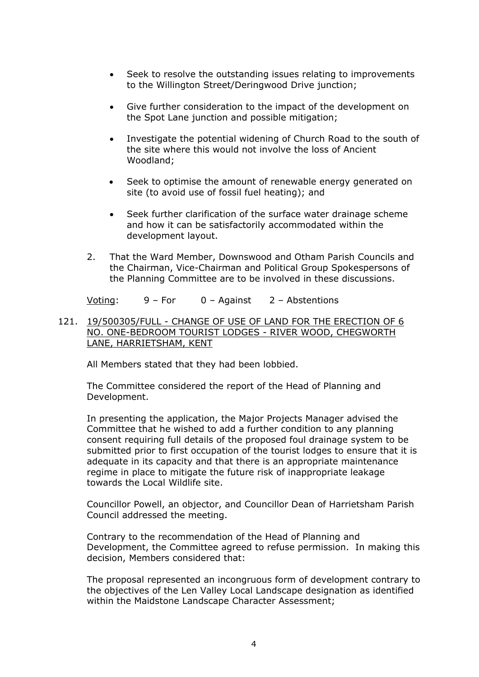- Seek to resolve the outstanding issues relating to improvements to the Willington Street/Deringwood Drive junction;
- Give further consideration to the impact of the development on the Spot Lane junction and possible mitigation;
- Investigate the potential widening of Church Road to the south of the site where this would not involve the loss of Ancient Woodland;
- Seek to optimise the amount of renewable energy generated on site (to avoid use of fossil fuel heating); and
- Seek further clarification of the surface water drainage scheme and how it can be satisfactorily accommodated within the development layout.
- 2. That the Ward Member, Downswood and Otham Parish Councils and the Chairman, Vice-Chairman and Political Group Spokespersons of the Planning Committee are to be involved in these discussions.

Voting: 9 – For 0 – Against 2 – Abstentions

### 121. 19/500305/FULL - CHANGE OF USE OF LAND FOR THE ERECTION OF 6 NO. ONE-BEDROOM TOURIST LODGES - RIVER WOOD, CHEGWORTH LANE, HARRIETSHAM, KENT

All Members stated that they had been lobbied.

The Committee considered the report of the Head of Planning and Development.

In presenting the application, the Major Projects Manager advised the Committee that he wished to add a further condition to any planning consent requiring full details of the proposed foul drainage system to be submitted prior to first occupation of the tourist lodges to ensure that it is adequate in its capacity and that there is an appropriate maintenance regime in place to mitigate the future risk of inappropriate leakage towards the Local Wildlife site.

Councillor Powell, an objector, and Councillor Dean of Harrietsham Parish Council addressed the meeting.

Contrary to the recommendation of the Head of Planning and Development, the Committee agreed to refuse permission. In making this decision, Members considered that:

The proposal represented an incongruous form of development contrary to the objectives of the Len Valley Local Landscape designation as identified within the Maidstone Landscape Character Assessment;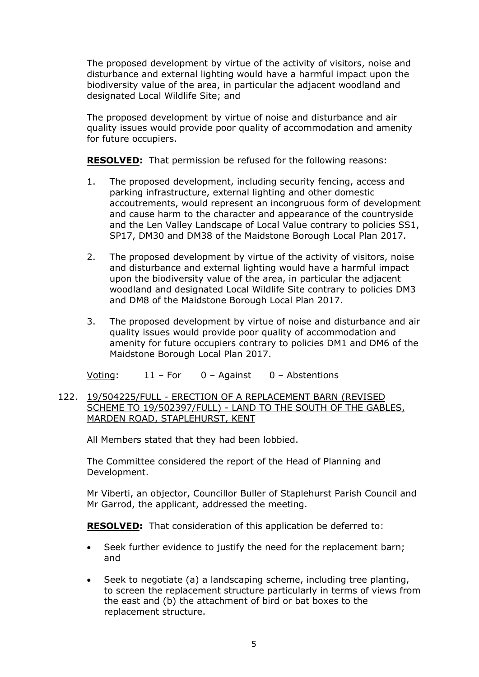The proposed development by virtue of the activity of visitors, noise and disturbance and external lighting would have a harmful impact upon the biodiversity value of the area, in particular the adjacent woodland and designated Local Wildlife Site; and

The proposed development by virtue of noise and disturbance and air quality issues would provide poor quality of accommodation and amenity for future occupiers.

**RESOLVED:** That permission be refused for the following reasons:

- 1. The proposed development, including security fencing, access and parking infrastructure, external lighting and other domestic accoutrements, would represent an incongruous form of development and cause harm to the character and appearance of the countryside and the Len Valley Landscape of Local Value contrary to policies SS1, SP17, DM30 and DM38 of the Maidstone Borough Local Plan 2017.
- 2. The proposed development by virtue of the activity of visitors, noise and disturbance and external lighting would have a harmful impact upon the biodiversity value of the area, in particular the adjacent woodland and designated Local Wildlife Site contrary to policies DM3 and DM8 of the Maidstone Borough Local Plan 2017.
- 3. The proposed development by virtue of noise and disturbance and air quality issues would provide poor quality of accommodation and amenity for future occupiers contrary to policies DM1 and DM6 of the Maidstone Borough Local Plan 2017.

Voting: 11 – For 0 – Against 0 – Abstentions

122. 19/504225/FULL - ERECTION OF A REPLACEMENT BARN (REVISED SCHEME TO 19/502397/FULL) - LAND TO THE SOUTH OF THE GABLES, MARDEN ROAD, STAPLEHURST, KENT

All Members stated that they had been lobbied.

The Committee considered the report of the Head of Planning and Development.

Mr Viberti, an objector, Councillor Buller of Staplehurst Parish Council and Mr Garrod, the applicant, addressed the meeting.

**RESOLVED:** That consideration of this application be deferred to:

- Seek further evidence to justify the need for the replacement barn; and
- Seek to negotiate (a) a landscaping scheme, including tree planting, to screen the replacement structure particularly in terms of views from the east and (b) the attachment of bird or bat boxes to the replacement structure.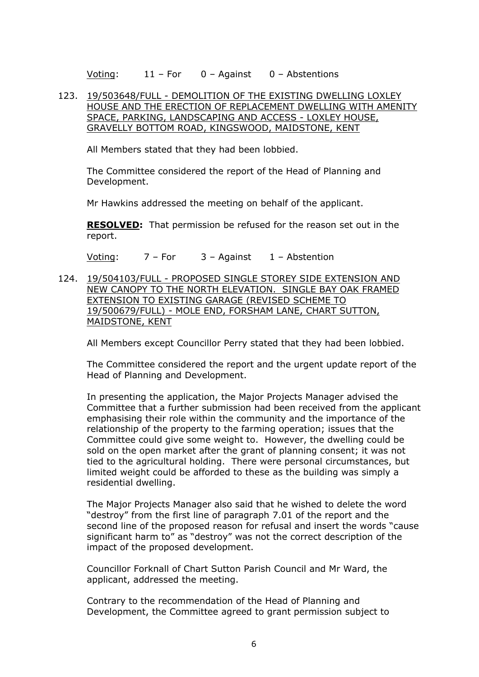Voting: 11 – For 0 – Against 0 – Abstentions

### 123. 19/503648/FULL - DEMOLITION OF THE EXISTING DWELLING LOXLEY HOUSE AND THE ERECTION OF REPLACEMENT DWELLING WITH AMENITY SPACE, PARKING, LANDSCAPING AND ACCESS - LOXLEY HOUSE, GRAVELLY BOTTOM ROAD, KINGSWOOD, MAIDSTONE, KENT

All Members stated that they had been lobbied.

The Committee considered the report of the Head of Planning and Development.

Mr Hawkins addressed the meeting on behalf of the applicant.

**RESOLVED:** That permission be refused for the reason set out in the report.

Voting:  $7 - For$   $3 - A$ gainst  $1 - Ab$ stention

124. 19/504103/FULL - PROPOSED SINGLE STOREY SIDE EXTENSION AND NEW CANOPY TO THE NORTH ELEVATION. SINGLE BAY OAK FRAMED EXTENSION TO EXISTING GARAGE (REVISED SCHEME TO 19/500679/FULL) - MOLE END, FORSHAM LANE, CHART SUTTON, MAIDSTONE, KENT

All Members except Councillor Perry stated that they had been lobbied.

The Committee considered the report and the urgent update report of the Head of Planning and Development.

In presenting the application, the Major Projects Manager advised the Committee that a further submission had been received from the applicant emphasising their role within the community and the importance of the relationship of the property to the farming operation; issues that the Committee could give some weight to. However, the dwelling could be sold on the open market after the grant of planning consent; it was not tied to the agricultural holding. There were personal circumstances, but limited weight could be afforded to these as the building was simply a residential dwelling.

The Major Projects Manager also said that he wished to delete the word "destroy" from the first line of paragraph 7.01 of the report and the second line of the proposed reason for refusal and insert the words "cause significant harm to" as "destroy" was not the correct description of the impact of the proposed development.

Councillor Forknall of Chart Sutton Parish Council and Mr Ward, the applicant, addressed the meeting.

Contrary to the recommendation of the Head of Planning and Development, the Committee agreed to grant permission subject to